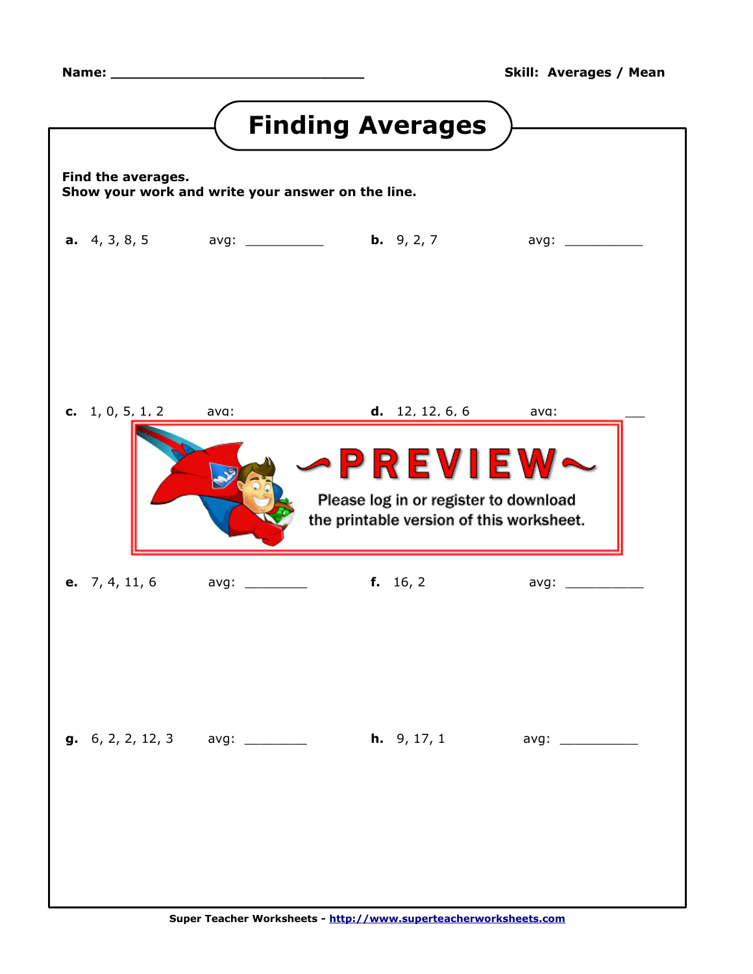<span id="page-0-0"></span>

|                                       |                                                                       | <b>Finding Averages</b>                                                                              |                     |
|---------------------------------------|-----------------------------------------------------------------------|------------------------------------------------------------------------------------------------------|---------------------|
| Find the averages.                    | Show your work and write your answer on the line.                     |                                                                                                      |                     |
|                                       | <b>a.</b> 4, 3, 8, 5 avg: ___________ <b>b.</b> 9, 2, 7 avg: ________ |                                                                                                      |                     |
|                                       |                                                                       |                                                                                                      |                     |
| <b>c.</b> 1, 0, 5, 1, 2 ava:          |                                                                       | d. 12.12.6.6                                                                                         | ava:                |
|                                       |                                                                       | <b>PREVIEW~</b><br>Please log in or register to download<br>the printable version of this worksheet. |                     |
|                                       | <b>e.</b> 7, 4, 11, 6 avg: _________ <b>f.</b> 16, 2 avg: _______     |                                                                                                      |                     |
| <b>g.</b> 6, 2, 2, 12, 3 avg: _______ |                                                                       | <b>h.</b> $9, 17, 1$                                                                                 | avg: ______________ |
|                                       | Super Teacher Worksheets - http://www.superteacherworksheets.com      |                                                                                                      |                     |